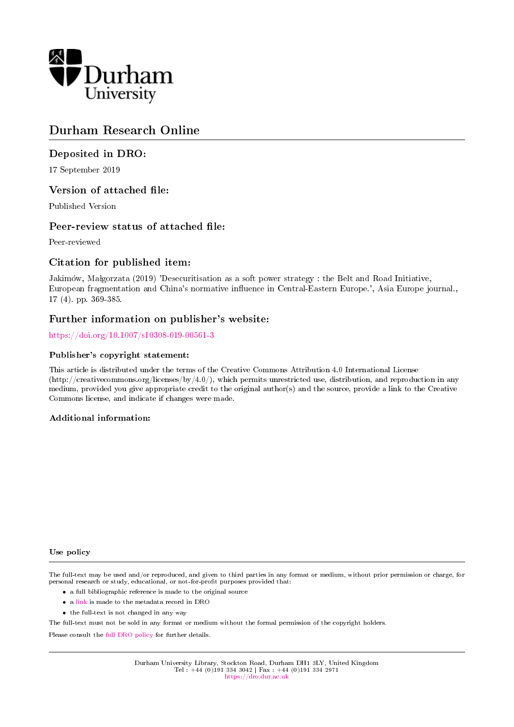

# Durham Research Online

## Deposited in DRO:

17 September 2019

## Version of attached file:

Published Version

## Peer-review status of attached file:

Peer-reviewed

## Citation for published item:

Jakimów, Małgorzata (2019) 'Desecuritisation as a soft power strategy : the Belt and Road Initiative, European fragmentation and China's normative influence in Central-Eastern Europe.', Asia Europe journal., 17 (4). pp. 369-385.

## Further information on publisher's website:

<https://doi.org/10.1007/s10308-019-00561-3>

### Publisher's copyright statement:

This article is distributed under the terms of the Creative Commons Attribution 4.0 International License (http://creativecommons.org/licenses/by/4.0/), which permits unrestricted use, distribution, and reproduction in any medium, provided you give appropriate credit to the original author(s) and the source, provide a link to the Creative Commons license, and indicate if changes were made.

## Additional information:

### Use policy

The full-text may be used and/or reproduced, and given to third parties in any format or medium, without prior permission or charge, for personal research or study, educational, or not-for-profit purposes provided that:

- a full bibliographic reference is made to the original source
- a [link](http://dro.dur.ac.uk/29058/) is made to the metadata record in DRO
- the full-text is not changed in any way

The full-text must not be sold in any format or medium without the formal permission of the copyright holders.

Please consult the [full DRO policy](https://dro.dur.ac.uk/policies/usepolicy.pdf) for further details.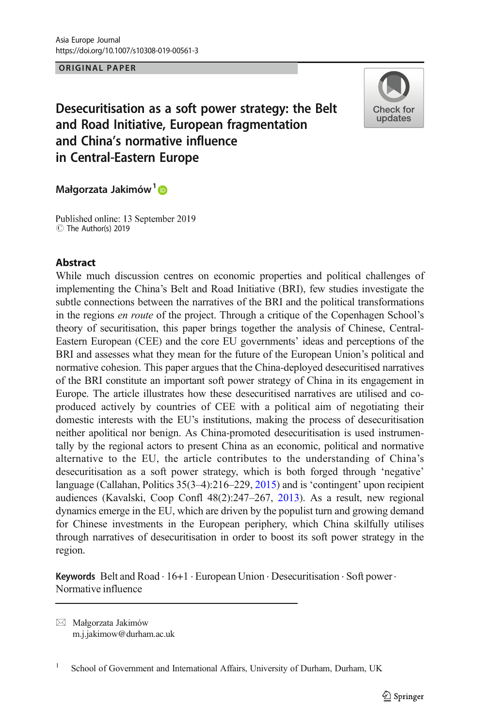

Desecuritisation as a soft power strategy: the Belt and Road Initiative, European fragmentation and China's normative influence in Central-Eastern Europe

### Małgorzata Jakimów<sup>1</sup>D

Published online: 13 September 2019 C The Author(s) 2019

### **Abstract**

While much discussion centres on economic properties and political challenges of implementing the China's Belt and Road Initiative (BRI), few studies investigate the subtle connections between the narratives of the BRI and the political transformations in the regions en route of the project. Through a critique of the Copenhagen School's theory of securitisation, this paper brings together the analysis of Chinese, Central-Eastern European (CEE) and the core EU governments' ideas and perceptions of the BRI and assesses what they mean for the future of the European Union's political and normative cohesion. This paper argues that the China-deployed desecuritised narratives of the BRI constitute an important soft power strategy of China in its engagement in Europe. The article illustrates how these desecuritised narratives are utilised and coproduced actively by countries of CEE with a political aim of negotiating their domestic interests with the EU's institutions, making the process of desecuritisation neither apolitical nor benign. As China-promoted desecuritisation is used instrumentally by the regional actors to present China as an economic, political and normative alternative to the EU, the article contributes to the understanding of China's desecuritisation as a soft power strategy, which is both forged through 'negative' language (Callahan, Politics 35(3-4):216–229, 2015) and is 'contingent' upon recipient audiences (Kavalski, Coop Confl 48(2):247–267, 2013). As a result, new regional dynamics emerge in the EU, which are driven by the populist turn and growing demand for Chinese investments in the European periphery, which China skilfully utilises through narratives of desecuritisation in order to boost its soft power strategy in the region.

Keywords Belt and Road  $\cdot 16+1 \cdot$  European Union  $\cdot$  Desecuritisation  $\cdot$  Soft power $\cdot$ Normative influence

 $\boxtimes$  Małgorzata Jakimów [m.j.jakimow@durham.ac.uk](mailto:m.j.jakimow@durham.ac.uk)

<sup>&</sup>lt;sup>1</sup> School of Government and International Affairs, University of Durham, Durham, UK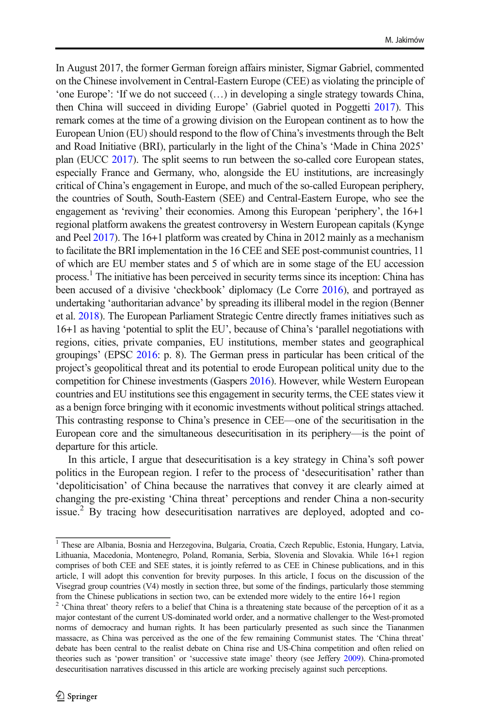In August 2017, the former German foreign affairs minister, Sigmar Gabriel, commented on the Chinese involvement in Central-Eastern Europe (CEE) as violating the principle of 'one Europe': 'If we do not succeed (…) in developing a single strategy towards China, then China will succeed in dividing Europe' (Gabriel quoted in Poggetti 2017). This remark comes at the time of a growing division on the European continent as to how the European Union (EU) should respond to the flow of China's investments through the Belt and Road Initiative (BRI), particularly in the light of the China's 'Made in China 2025' plan (EUCC 2017). The split seems to run between the so-called core European states, especially France and Germany, who, alongside the EU institutions, are increasingly critical of China's engagement in Europe, and much of the so-called European periphery, the countries of South, South-Eastern (SEE) and Central-Eastern Europe, who see the engagement as 'reviving' their economies. Among this European 'periphery', the 16+1 regional platform awakens the greatest controversy in Western European capitals (Kynge and Peel 2017). The 16+1 platform was created by China in 2012 mainly as a mechanism to facilitate the BRI implementation in the 16 CEE and SEE post-communist countries, 11 of which are EU member states and 5 of which are in some stage of the EU accession process.<sup>1</sup> The initiative has been perceived in security terms since its inception: China has been accused of a divisive 'checkbook' diplomacy (Le Corre 2016), and portrayed as undertaking 'authoritarian advance' by spreading its illiberal model in the region (Benner et al. 2018). The European Parliament Strategic Centre directly frames initiatives such as 16+1 as having 'potential to split the EU', because of China's 'parallel negotiations with regions, cities, private companies, EU institutions, member states and geographical groupings' (EPSC 2016: p. 8). The German press in particular has been critical of the project's geopolitical threat and its potential to erode European political unity due to the competition for Chinese investments (Gaspers 2016). However, while Western European countries and EU institutions see this engagement in security terms, the CEE states view it as a benign force bringing with it economic investments without political strings attached. This contrasting response to China's presence in CEE—one of the securitisation in the European core and the simultaneous desecuritisation in its periphery—is the point of departure for this article.

In this article, I argue that desecuritisation is a key strategy in China's soft power politics in the European region. I refer to the process of 'desecuritisation' rather than 'depoliticisation' of China because the narratives that convey it are clearly aimed at changing the pre-existing 'China threat' perceptions and render China a non-security issue.<sup>2</sup> By tracing how desecuritisation narratives are deployed, adopted and co-

<sup>&</sup>lt;sup>1</sup> These are Albania, Bosnia and Herzegovina, Bulgaria, Croatia, Czech Republic, Estonia, Hungary, Latvia, Lithuania, Macedonia, Montenegro, Poland, Romania, Serbia, Slovenia and Slovakia. While 16+1 region comprises of both CEE and SEE states, it is jointly referred to as CEE in Chinese publications, and in this article, I will adopt this convention for brevity purposes. In this article, I focus on the discussion of the Visegrad group countries (V4) mostly in section three, but some of the findings, particularly those stemming from the Chinese publications in section two, can be extended more widely to the entire 16+1 region

<sup>&</sup>lt;sup>2</sup> 'China threat' theory refers to a belief that China is a threatening state because of the perception of it as a major contestant of the current US-dominated world order, and a normative challenger to the West-promoted norms of democracy and human rights. It has been particularly presented as such since the Tiananmen massacre, as China was perceived as the one of the few remaining Communist states. The 'China threat' debate has been central to the realist debate on China rise and US-China competition and often relied on theories such as 'power transition' or 'successive state image' theory (see Jeffery 2009). China-promoted desecuritisation narratives discussed in this article are working precisely against such perceptions.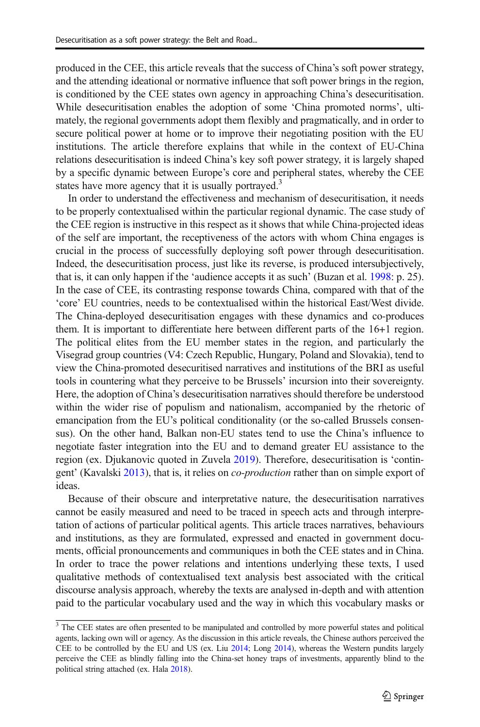produced in the CEE, this article reveals that the success of China's soft power strategy, and the attending ideational or normative influence that soft power brings in the region, is conditioned by the CEE states own agency in approaching China's desecuritisation. While desecuritisation enables the adoption of some 'China promoted norms', ultimately, the regional governments adopt them flexibly and pragmatically, and in order to secure political power at home or to improve their negotiating position with the EU institutions. The article therefore explains that while in the context of EU-China relations desecuritisation is indeed China's key soft power strategy, it is largely shaped by a specific dynamic between Europe's core and peripheral states, whereby the CEE states have more agency that it is usually portrayed.<sup>3</sup>

In order to understand the effectiveness and mechanism of desecuritisation, it needs to be properly contextualised within the particular regional dynamic. The case study of the CEE region is instructive in this respect as it shows that while China-projected ideas of the self are important, the receptiveness of the actors with whom China engages is crucial in the process of successfully deploying soft power through desecuritisation. Indeed, the desecuritisation process, just like its reverse, is produced intersubjectively, that is, it can only happen if the 'audience accepts it as such' (Buzan et al. 1998: p. 25). In the case of CEE, its contrasting response towards China, compared with that of the 'core' EU countries, needs to be contextualised within the historical East/West divide. The China-deployed desecuritisation engages with these dynamics and co-produces them. It is important to differentiate here between different parts of the 16+1 region. The political elites from the EU member states in the region, and particularly the Visegrad group countries (V4: Czech Republic, Hungary, Poland and Slovakia), tend to view the China-promoted desecuritised narratives and institutions of the BRI as useful tools in countering what they perceive to be Brussels' incursion into their sovereignty. Here, the adoption of China's desecuritisation narratives should therefore be understood within the wider rise of populism and nationalism, accompanied by the rhetoric of emancipation from the EU's political conditionality (or the so-called Brussels consensus). On the other hand, Balkan non-EU states tend to use the China's influence to negotiate faster integration into the EU and to demand greater EU assistance to the region (ex. Djukanovic quoted in Zuvela 2019). Therefore, desecuritisation is 'contingent' (Kavalski 2013), that is, it relies on co-production rather than on simple export of ideas.

Because of their obscure and interpretative nature, the desecuritisation narratives cannot be easily measured and need to be traced in speech acts and through interpretation of actions of particular political agents. This article traces narratives, behaviours and institutions, as they are formulated, expressed and enacted in government documents, official pronouncements and communiques in both the CEE states and in China. In order to trace the power relations and intentions underlying these texts, I used qualitative methods of contextualised text analysis best associated with the critical discourse analysis approach, whereby the texts are analysed in-depth and with attention paid to the particular vocabulary used and the way in which this vocabulary masks or

 $\frac{3}{3}$  The CEE states are often presented to be manipulated and controlled by more powerful states and political agents, lacking own will or agency. As the discussion in this article reveals, the Chinese authors perceived the CEE to be controlled by the EU and US (ex. Liu 2014; Long 2014), whereas the Western pundits largely perceive the CEE as blindly falling into the China-set honey traps of investments, apparently blind to the political string attached (ex. Hala 2018).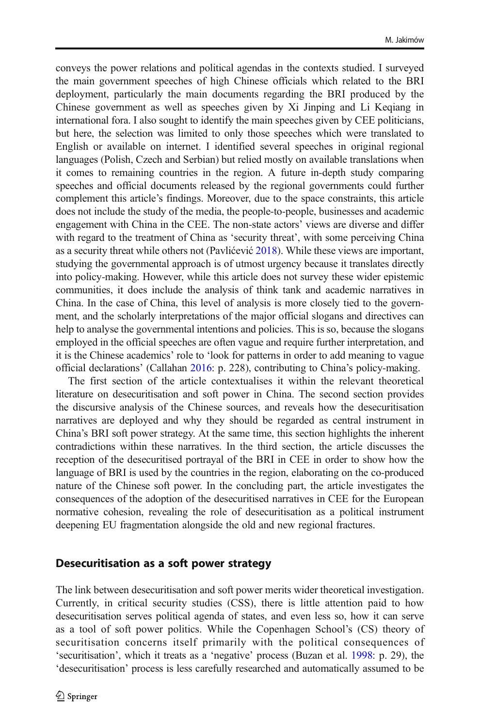conveys the power relations and political agendas in the contexts studied. I surveyed the main government speeches of high Chinese officials which related to the BRI deployment, particularly the main documents regarding the BRI produced by the Chinese government as well as speeches given by Xi Jinping and Li Keqiang in international fora. I also sought to identify the main speeches given by CEE politicians, but here, the selection was limited to only those speeches which were translated to English or available on internet. I identified several speeches in original regional languages (Polish, Czech and Serbian) but relied mostly on available translations when it comes to remaining countries in the region. A future in-depth study comparing speeches and official documents released by the regional governments could further complement this article's findings. Moreover, due to the space constraints, this article does not include the study of the media, the people-to-people, businesses and academic engagement with China in the CEE. The non-state actors' views are diverse and differ with regard to the treatment of China as 'security threat', with some perceiving China as a security threat while others not (Pavlićević 2018). While these views are important, studying the governmental approach is of utmost urgency because it translates directly into policy-making. However, while this article does not survey these wider epistemic communities, it does include the analysis of think tank and academic narratives in China. In the case of China, this level of analysis is more closely tied to the government, and the scholarly interpretations of the major official slogans and directives can help to analyse the governmental intentions and policies. This is so, because the slogans employed in the official speeches are often vague and require further interpretation, and it is the Chinese academics' role to 'look for patterns in order to add meaning to vague official declarations' (Callahan 2016: p. 228), contributing to China's policy-making.

The first section of the article contextualises it within the relevant theoretical literature on desecuritisation and soft power in China. The second section provides the discursive analysis of the Chinese sources, and reveals how the desecuritisation narratives are deployed and why they should be regarded as central instrument in China's BRI soft power strategy. At the same time, this section highlights the inherent contradictions within these narratives. In the third section, the article discusses the reception of the desecuritised portrayal of the BRI in CEE in order to show how the language of BRI is used by the countries in the region, elaborating on the co-produced nature of the Chinese soft power. In the concluding part, the article investigates the consequences of the adoption of the desecuritised narratives in CEE for the European normative cohesion, revealing the role of desecuritisation as a political instrument deepening EU fragmentation alongside the old and new regional fractures.

### Desecuritisation as a soft power strategy

The link between desecuritisation and soft power merits wider theoretical investigation. Currently, in critical security studies (CSS), there is little attention paid to how desecuritisation serves political agenda of states, and even less so, how it can serve as a tool of soft power politics. While the Copenhagen School's (CS) theory of securitisation concerns itself primarily with the political consequences of 'securitisation', which it treats as a 'negative' process (Buzan et al. 1998: p. 29), the 'desecuritisation' process is less carefully researched and automatically assumed to be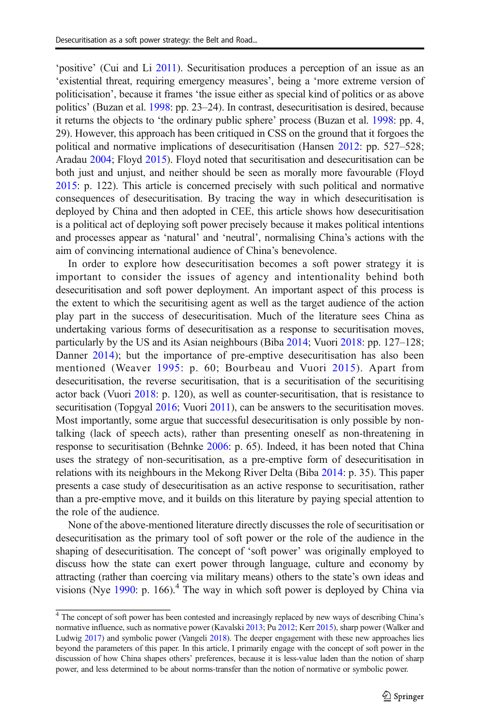'positive' (Cui and Li 2011). Securitisation produces a perception of an issue as an 'existential threat, requiring emergency measures', being a 'more extreme version of politicisation', because it frames 'the issue either as special kind of politics or as above politics' (Buzan et al. 1998: pp. 23–24). In contrast, desecuritisation is desired, because it returns the objects to 'the ordinary public sphere' process (Buzan et al. 1998: pp. 4, 29). However, this approach has been critiqued in CSS on the ground that it forgoes the political and normative implications of desecuritisation (Hansen 2012: pp. 527–528; Aradau 2004; Floyd 2015). Floyd noted that securitisation and desecuritisation can be both just and unjust, and neither should be seen as morally more favourable (Floyd 2015: p. 122). This article is concerned precisely with such political and normative consequences of desecuritisation. By tracing the way in which desecuritisation is deployed by China and then adopted in CEE, this article shows how desecuritisation is a political act of deploying soft power precisely because it makes political intentions and processes appear as 'natural' and 'neutral', normalising China's actions with the aim of convincing international audience of China's benevolence.

In order to explore how desecuritisation becomes a soft power strategy it is important to consider the issues of agency and intentionality behind both desecuritisation and soft power deployment. An important aspect of this process is the extent to which the securitising agent as well as the target audience of the action play part in the success of desecuritisation. Much of the literature sees China as undertaking various forms of desecuritisation as a response to securitisation moves, particularly by the US and its Asian neighbours (Biba 2014; Vuori 2018: pp. 127–128; Danner 2014); but the importance of pre-emptive desecuritisation has also been mentioned (Weaver 1995: p. 60; Bourbeau and Vuori 2015). Apart from desecuritisation, the reverse securitisation, that is a securitisation of the securitising actor back (Vuori 2018: p. 120), as well as counter-securitisation, that is resistance to securitisation (Topgyal 2016; Vuori 2011), can be answers to the securitisation moves. Most importantly, some argue that successful desecuritisation is only possible by nontalking (lack of speech acts), rather than presenting oneself as non-threatening in response to securitisation (Behnke 2006: p. 65). Indeed, it has been noted that China uses the strategy of non-securitisation, as a pre-emptive form of desecuritisation in relations with its neighbours in the Mekong River Delta (Biba 2014: p. 35). This paper presents a case study of desecuritisation as an active response to securitisation, rather than a pre-emptive move, and it builds on this literature by paying special attention to the role of the audience.

None of the above-mentioned literature directly discusses the role of securitisation or desecuritisation as the primary tool of soft power or the role of the audience in the shaping of desecuritisation. The concept of 'soft power' was originally employed to discuss how the state can exert power through language, culture and economy by attracting (rather than coercing via military means) others to the state's own ideas and visions (Nye 1990: p. 166).<sup>4</sup> The way in which soft power is deployed by China via

<sup>&</sup>lt;sup>4</sup> The concept of soft power has been contested and increasingly replaced by new ways of describing China's normative influence, such as normative power (Kavalski 2013; Pu 2012; Kerr 2015), sharp power (Walker and Ludwig 2017) and symbolic power (Vangeli 2018). The deeper engagement with these new approaches lies beyond the parameters of this paper. In this article, I primarily engage with the concept of soft power in the discussion of how China shapes others' preferences, because it is less-value laden than the notion of sharp power, and less determined to be about norms-transfer than the notion of normative or symbolic power.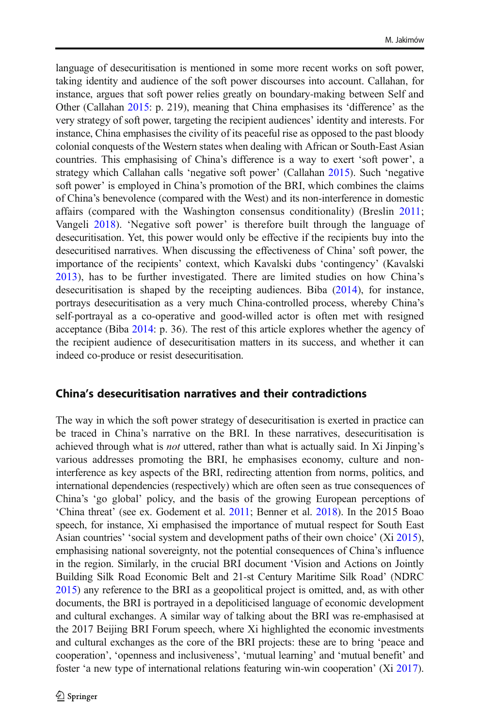language of desecuritisation is mentioned in some more recent works on soft power, taking identity and audience of the soft power discourses into account. Callahan, for instance, argues that soft power relies greatly on boundary-making between Self and Other (Callahan 2015: p. 219), meaning that China emphasises its 'difference' as the very strategy of soft power, targeting the recipient audiences' identity and interests. For instance, China emphasises the civility of its peaceful rise as opposed to the past bloody colonial conquests of the Western states when dealing with African or South-East Asian countries. This emphasising of China's difference is a way to exert 'soft power', a strategy which Callahan calls 'negative soft power' (Callahan 2015). Such 'negative soft power' is employed in China's promotion of the BRI, which combines the claims of China's benevolence (compared with the West) and its non-interference in domestic affairs (compared with the Washington consensus conditionality) (Breslin 2011; Vangeli 2018). 'Negative soft power' is therefore built through the language of desecuritisation. Yet, this power would only be effective if the recipients buy into the desecuritised narratives. When discussing the effectiveness of China' soft power, the importance of the recipients' context, which Kavalski dubs 'contingency' (Kavalski 2013), has to be further investigated. There are limited studies on how China's desecuritisation is shaped by the receipting audiences. Biba (2014), for instance, portrays desecuritisation as a very much China-controlled process, whereby China's self-portrayal as a co-operative and good-willed actor is often met with resigned acceptance (Biba 2014: p. 36). The rest of this article explores whether the agency of the recipient audience of desecuritisation matters in its success, and whether it can indeed co-produce or resist desecuritisation.

### China's desecuritisation narratives and their contradictions

The way in which the soft power strategy of desecuritisation is exerted in practice can be traced in China's narrative on the BRI. In these narratives, desecuritisation is achieved through what is not uttered, rather than what is actually said. In Xi Jinping's various addresses promoting the BRI, he emphasises economy, culture and noninterference as key aspects of the BRI, redirecting attention from norms, politics, and international dependencies (respectively) which are often seen as true consequences of China's 'go global' policy, and the basis of the growing European perceptions of 'China threat' (see ex. Godement et al. 2011; Benner et al. 2018). In the 2015 Boao speech, for instance, Xi emphasised the importance of mutual respect for South East Asian countries' 'social system and development paths of their own choice' (Xi 2015), emphasising national sovereignty, not the potential consequences of China's influence in the region. Similarly, in the crucial BRI document 'Vision and Actions on Jointly Building Silk Road Economic Belt and 21-st Century Maritime Silk Road' (NDRC 2015) any reference to the BRI as a geopolitical project is omitted, and, as with other documents, the BRI is portrayed in a depoliticised language of economic development and cultural exchanges. A similar way of talking about the BRI was re-emphasised at the 2017 Beijing BRI Forum speech, where Xi highlighted the economic investments and cultural exchanges as the core of the BRI projects: these are to bring 'peace and cooperation', 'openness and inclusiveness', 'mutual learning' and 'mutual benefit' and foster 'a new type of international relations featuring win-win cooperation' (Xi 2017).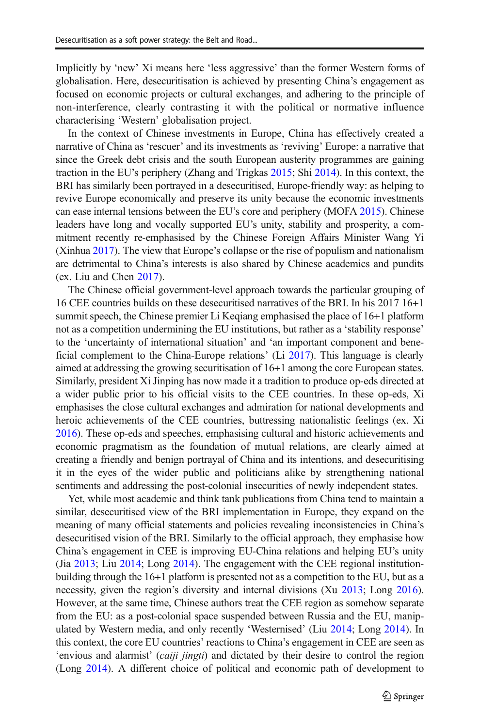Implicitly by 'new' Xi means here 'less aggressive' than the former Western forms of globalisation. Here, desecuritisation is achieved by presenting China's engagement as focused on economic projects or cultural exchanges, and adhering to the principle of non-interference, clearly contrasting it with the political or normative influence characterising 'Western' globalisation project.

In the context of Chinese investments in Europe, China has effectively created a narrative of China as 'rescuer' and its investments as 'reviving' Europe: a narrative that since the Greek debt crisis and the south European austerity programmes are gaining traction in the EU's periphery (Zhang and Trigkas 2015; Shi 2014). In this context, the BRI has similarly been portrayed in a desecuritised, Europe-friendly way: as helping to revive Europe economically and preserve its unity because the economic investments can ease internal tensions between the EU's core and periphery (MOFA 2015). Chinese leaders have long and vocally supported EU's unity, stability and prosperity, a commitment recently re-emphasised by the Chinese Foreign Affairs Minister Wang Yi (Xinhua 2017). The view that Europe's collapse or the rise of populism and nationalism are detrimental to China's interests is also shared by Chinese academics and pundits (ex. Liu and Chen 2017).

The Chinese official government-level approach towards the particular grouping of 16 CEE countries builds on these desecuritised narratives of the BRI. In his 2017 16+1 summit speech, the Chinese premier Li Keqiang emphasised the place of 16+1 platform not as a competition undermining the EU institutions, but rather as a 'stability response' to the 'uncertainty of international situation' and 'an important component and beneficial complement to the China-Europe relations' (Li 2017). This language is clearly aimed at addressing the growing securitisation of 16+1 among the core European states. Similarly, president Xi Jinping has now made it a tradition to produce op-eds directed at a wider public prior to his official visits to the CEE countries. In these op-eds, Xi emphasises the close cultural exchanges and admiration for national developments and heroic achievements of the CEE countries, buttressing nationalistic feelings (ex. Xi 2016). These op-eds and speeches, emphasising cultural and historic achievements and economic pragmatism as the foundation of mutual relations, are clearly aimed at creating a friendly and benign portrayal of China and its intentions, and desecuritising it in the eyes of the wider public and politicians alike by strengthening national sentiments and addressing the post-colonial insecurities of newly independent states.

Yet, while most academic and think tank publications from China tend to maintain a similar, desecuritised view of the BRI implementation in Europe, they expand on the meaning of many official statements and policies revealing inconsistencies in China's desecuritised vision of the BRI. Similarly to the official approach, they emphasise how China's engagement in CEE is improving EU-China relations and helping EU's unity (Jia 2013; Liu 2014; Long 2014). The engagement with the CEE regional institutionbuilding through the 16+1 platform is presented not as a competition to the EU, but as a necessity, given the region's diversity and internal divisions (Xu 2013; Long 2016). However, at the same time, Chinese authors treat the CEE region as somehow separate from the EU: as a post-colonial space suspended between Russia and the EU, manipulated by Western media, and only recently 'Westernised' (Liu 2014; Long 2014). In this context, the core EU countries' reactions to China's engagement in CEE are seen as 'envious and alarmist' (*caiji jingti*) and dictated by their desire to control the region (Long 2014). A different choice of political and economic path of development to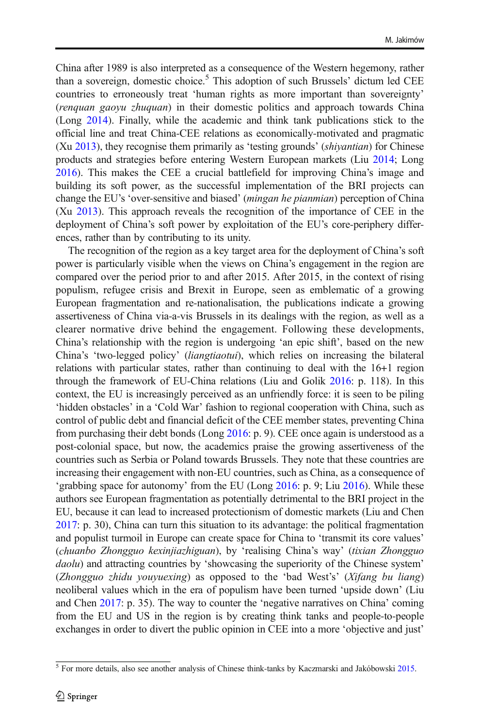China after 1989 is also interpreted as a consequence of the Western hegemony, rather than a sovereign, domestic choice.<sup>5</sup> This adoption of such Brussels' dictum led CEE countries to erroneously treat 'human rights as more important than sovereignty' (renquan gaoyu zhuquan) in their domestic politics and approach towards China (Long 2014). Finally, while the academic and think tank publications stick to the official line and treat China-CEE relations as economically-motivated and pragmatic (Xu 2013), they recognise them primarily as 'testing grounds' (shiyantian) for Chinese products and strategies before entering Western European markets (Liu 2014; Long 2016). This makes the CEE a crucial battlefield for improving China's image and building its soft power, as the successful implementation of the BRI projects can change the EU's 'over-sensitive and biased' (mingan he pianmian) perception of China (Xu 2013). This approach reveals the recognition of the importance of CEE in the deployment of China's soft power by exploitation of the EU's core-periphery differences, rather than by contributing to its unity.

The recognition of the region as a key target area for the deployment of China's soft power is particularly visible when the views on China's engagement in the region are compared over the period prior to and after 2015. After 2015, in the context of rising populism, refugee crisis and Brexit in Europe, seen as emblematic of a growing European fragmentation and re-nationalisation, the publications indicate a growing assertiveness of China via-a-vis Brussels in its dealings with the region, as well as a clearer normative drive behind the engagement. Following these developments, China's relationship with the region is undergoing 'an epic shift', based on the new China's 'two-legged policy' (liangtiaotui), which relies on increasing the bilateral relations with particular states, rather than continuing to deal with the 16+1 region through the framework of EU-China relations (Liu and Golik 2016: p. 118). In this context, the EU is increasingly perceived as an unfriendly force: it is seen to be piling 'hidden obstacles' in a 'Cold War' fashion to regional cooperation with China, such as control of public debt and financial deficit of the CEE member states, preventing China from purchasing their debt bonds (Long 2016: p. 9). CEE once again is understood as a post-colonial space, but now, the academics praise the growing assertiveness of the countries such as Serbia or Poland towards Brussels. They note that these countries are increasing their engagement with non-EU countries, such as China, as a consequence of 'grabbing space for autonomy' from the EU (Long 2016: p. 9; Liu 2016). While these authors see European fragmentation as potentially detrimental to the BRI project in the EU, because it can lead to increased protectionism of domestic markets (Liu and Chen 2017: p. 30), China can turn this situation to its advantage: the political fragmentation and populist turmoil in Europe can create space for China to 'transmit its core values' (chuanbo Zhongguo kexinjiazhiguan), by 'realising China's way' (tixian Zhongguo daolu) and attracting countries by 'showcasing the superiority of the Chinese system' (Zhongguo zhidu youyuexing) as opposed to the 'bad West's' (Xifang bu liang) neoliberal values which in the era of populism have been turned 'upside down' (Liu and Chen 2017: p. 35). The way to counter the 'negative narratives on China' coming from the EU and US in the region is by creating think tanks and people-to-people exchanges in order to divert the public opinion in CEE into a more 'objective and just'

<sup>5</sup> For more details, also see another analysis of Chinese think-tanks by Kaczmarski and Jakóbowski 2015.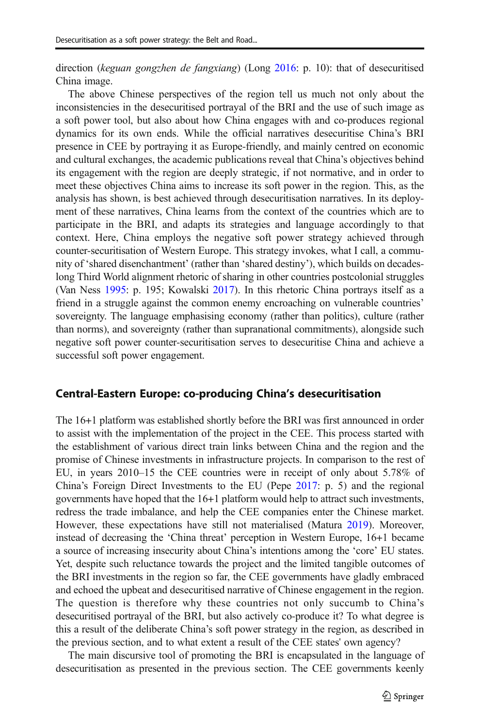direction (keguan gongzhen de fangxiang) (Long 2016: p. 10): that of desecuritised China image.

The above Chinese perspectives of the region tell us much not only about the inconsistencies in the desecuritised portrayal of the BRI and the use of such image as a soft power tool, but also about how China engages with and co-produces regional dynamics for its own ends. While the official narratives desecuritise China's BRI presence in CEE by portraying it as Europe-friendly, and mainly centred on economic and cultural exchanges, the academic publications reveal that China's objectives behind its engagement with the region are deeply strategic, if not normative, and in order to meet these objectives China aims to increase its soft power in the region. This, as the analysis has shown, is best achieved through desecuritisation narratives. In its deployment of these narratives, China learns from the context of the countries which are to participate in the BRI, and adapts its strategies and language accordingly to that context. Here, China employs the negative soft power strategy achieved through counter-securitisation of Western Europe. This strategy invokes, what I call, a community of 'shared disenchantment' (rather than 'shared destiny'), which builds on decadeslong Third World alignment rhetoric of sharing in other countries postcolonial struggles (Van Ness 1995: p. 195; Kowalski 2017). In this rhetoric China portrays itself as a friend in a struggle against the common enemy encroaching on vulnerable countries' sovereignty. The language emphasising economy (rather than politics), culture (rather than norms), and sovereignty (rather than supranational commitments), alongside such negative soft power counter-securitisation serves to desecuritise China and achieve a successful soft power engagement.

### Central-Eastern Europe: co-producing China's desecuritisation

The 16+1 platform was established shortly before the BRI was first announced in order to assist with the implementation of the project in the CEE. This process started with the establishment of various direct train links between China and the region and the promise of Chinese investments in infrastructure projects. In comparison to the rest of EU, in years 2010–15 the CEE countries were in receipt of only about 5.78% of China's Foreign Direct Investments to the EU (Pepe 2017: p. 5) and the regional governments have hoped that the 16+1 platform would help to attract such investments, redress the trade imbalance, and help the CEE companies enter the Chinese market. However, these expectations have still not materialised (Matura 2019). Moreover, instead of decreasing the 'China threat' perception in Western Europe, 16+1 became a source of increasing insecurity about China's intentions among the 'core' EU states. Yet, despite such reluctance towards the project and the limited tangible outcomes of the BRI investments in the region so far, the CEE governments have gladly embraced and echoed the upbeat and desecuritised narrative of Chinese engagement in the region. The question is therefore why these countries not only succumb to China's desecuritised portrayal of the BRI, but also actively co-produce it? To what degree is this a result of the deliberate China's soft power strategy in the region, as described in the previous section, and to what extent a result of the CEE states' own agency?

The main discursive tool of promoting the BRI is encapsulated in the language of desecuritisation as presented in the previous section. The CEE governments keenly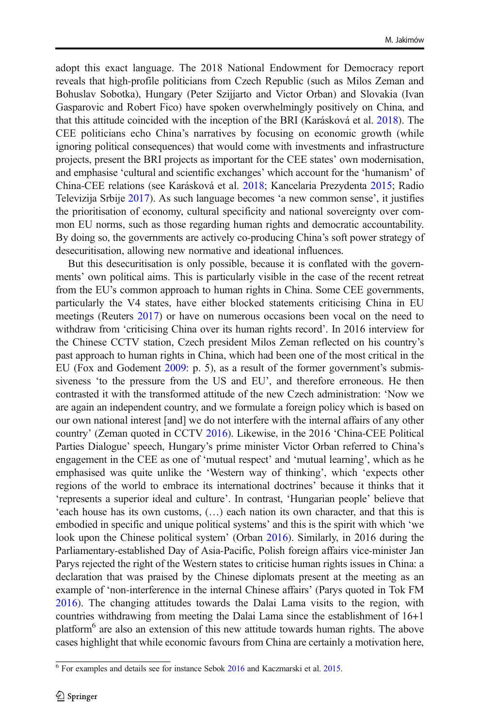adopt this exact language. The 2018 National Endowment for Democracy report reveals that high-profile politicians from Czech Republic (such as Milos Zeman and Bohuslav Sobotka), Hungary (Peter Szijjarto and Victor Orban) and Slovakia (Ivan Gasparovic and Robert Fico) have spoken overwhelmingly positively on China, and that this attitude coincided with the inception of the BRI (Karásková et al. 2018). The CEE politicians echo China's narratives by focusing on economic growth (while ignoring political consequences) that would come with investments and infrastructure projects, present the BRI projects as important for the CEE states' own modernisation, and emphasise 'cultural and scientific exchanges' which account for the 'humanism' of China-CEE relations (see Karásková et al. 2018; Kancelaria Prezydenta 2015; Radio Televizija Srbije 2017). As such language becomes 'a new common sense', it justifies the prioritisation of economy, cultural specificity and national sovereignty over common EU norms, such as those regarding human rights and democratic accountability. By doing so, the governments are actively co-producing China's soft power strategy of desecuritisation, allowing new normative and ideational influences.

But this desecuritisation is only possible, because it is conflated with the governments' own political aims. This is particularly visible in the case of the recent retreat from the EU's common approach to human rights in China. Some CEE governments, particularly the V4 states, have either blocked statements criticising China in EU meetings (Reuters 2017) or have on numerous occasions been vocal on the need to withdraw from 'criticising China over its human rights record'. In 2016 interview for the Chinese CCTV station, Czech president Milos Zeman reflected on his country's past approach to human rights in China, which had been one of the most critical in the EU (Fox and Godement 2009: p. 5), as a result of the former government's submissiveness 'to the pressure from the US and EU', and therefore erroneous. He then contrasted it with the transformed attitude of the new Czech administration: 'Now we are again an independent country, and we formulate a foreign policy which is based on our own national interest [and] we do not interfere with the internal affairs of any other country' (Zeman quoted in CCTV 2016). Likewise, in the 2016 'China-CEE Political Parties Dialogue' speech, Hungary's prime minister Victor Orban referred to China's engagement in the CEE as one of 'mutual respect' and 'mutual learning', which as he emphasised was quite unlike the 'Western way of thinking', which 'expects other regions of the world to embrace its international doctrines' because it thinks that it 'represents a superior ideal and culture'. In contrast, 'Hungarian people' believe that 'each house has its own customs, (…) each nation its own character, and that this is embodied in specific and unique political systems' and this is the spirit with which 'we look upon the Chinese political system' (Orban 2016). Similarly, in 2016 during the Parliamentary-established Day of Asia-Pacific, Polish foreign affairs vice-minister Jan Parys rejected the right of the Western states to criticise human rights issues in China: a declaration that was praised by the Chinese diplomats present at the meeting as an example of 'non-interference in the internal Chinese affairs' (Parys quoted in Tok FM 2016). The changing attitudes towards the Dalai Lama visits to the region, with countries withdrawing from meeting the Dalai Lama since the establishment of 16+1 platform<sup>6</sup> are also an extension of this new attitude towards human rights. The above cases highlight that while economic favours from China are certainly a motivation here,

 $6$  For examples and details see for instance Sebok  $2016$  and Kaczmarski et al.  $2015$ .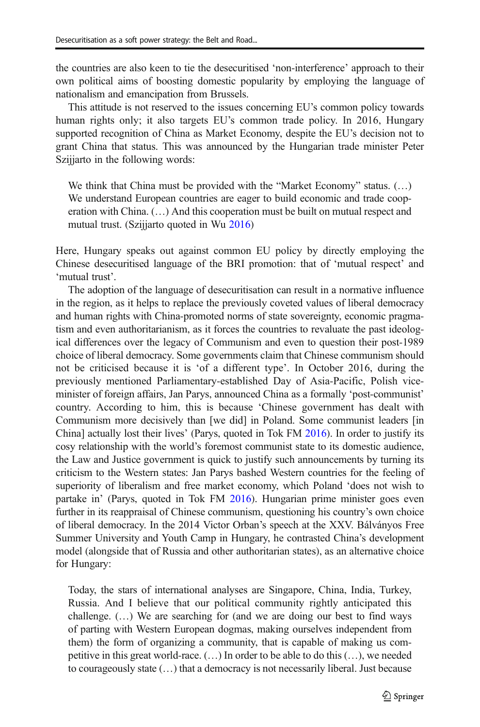the countries are also keen to tie the desecuritised 'non-interference' approach to their own political aims of boosting domestic popularity by employing the language of nationalism and emancipation from Brussels.

This attitude is not reserved to the issues concerning EU's common policy towards human rights only; it also targets EU's common trade policy. In 2016, Hungary supported recognition of China as Market Economy, despite the EU's decision not to grant China that status. This was announced by the Hungarian trade minister Peter Szijjarto in the following words:

We think that China must be provided with the "Market Economy" status. (…) We understand European countries are eager to build economic and trade cooperation with China. (…) And this cooperation must be built on mutual respect and mutual trust. (Szijjarto quoted in Wu 2016)

Here, Hungary speaks out against common EU policy by directly employing the Chinese desecuritised language of the BRI promotion: that of 'mutual respect' and 'mutual trust'.

The adoption of the language of desecuritisation can result in a normative influence in the region, as it helps to replace the previously coveted values of liberal democracy and human rights with China-promoted norms of state sovereignty, economic pragmatism and even authoritarianism, as it forces the countries to revaluate the past ideological differences over the legacy of Communism and even to question their post-1989 choice of liberal democracy. Some governments claim that Chinese communism should not be criticised because it is 'of a different type'. In October 2016, during the previously mentioned Parliamentary-established Day of Asia-Pacific, Polish viceminister of foreign affairs, Jan Parys, announced China as a formally 'post-communist' country. According to him, this is because 'Chinese government has dealt with Communism more decisively than [we did] in Poland. Some communist leaders [in China] actually lost their lives' (Parys, quoted in Tok FM 2016). In order to justify its cosy relationship with the world's foremost communist state to its domestic audience, the Law and Justice government is quick to justify such announcements by turning its criticism to the Western states: Jan Parys bashed Western countries for the feeling of superiority of liberalism and free market economy, which Poland 'does not wish to partake in' (Parys, quoted in Tok FM 2016). Hungarian prime minister goes even further in its reappraisal of Chinese communism, questioning his country's own choice of liberal democracy. In the 2014 Victor Orban's speech at the XXV. Bálványos Free Summer University and Youth Camp in Hungary, he contrasted China's development model (alongside that of Russia and other authoritarian states), as an alternative choice for Hungary:

Today, the stars of international analyses are Singapore, China, India, Turkey, Russia. And I believe that our political community rightly anticipated this challenge. (…) We are searching for (and we are doing our best to find ways of parting with Western European dogmas, making ourselves independent from them) the form of organizing a community, that is capable of making us competitive in this great world-race. (…) In order to be able to do this (…), we needed to courageously state (…) that a democracy is not necessarily liberal. Just because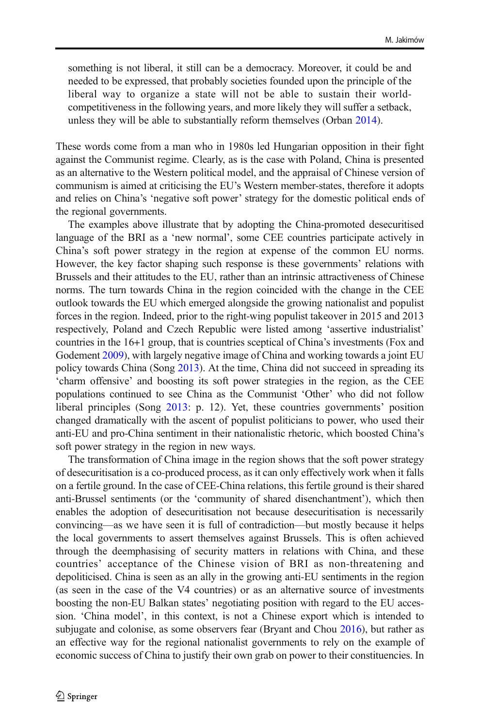something is not liberal, it still can be a democracy. Moreover, it could be and needed to be expressed, that probably societies founded upon the principle of the liberal way to organize a state will not be able to sustain their worldcompetitiveness in the following years, and more likely they will suffer a setback, unless they will be able to substantially reform themselves (Orban 2014).

These words come from a man who in 1980s led Hungarian opposition in their fight against the Communist regime. Clearly, as is the case with Poland, China is presented as an alternative to the Western political model, and the appraisal of Chinese version of communism is aimed at criticising the EU's Western member-states, therefore it adopts and relies on China's 'negative soft power' strategy for the domestic political ends of the regional governments.

The examples above illustrate that by adopting the China-promoted desecuritised language of the BRI as a 'new normal', some CEE countries participate actively in China's soft power strategy in the region at expense of the common EU norms. However, the key factor shaping such response is these governments' relations with Brussels and their attitudes to the EU, rather than an intrinsic attractiveness of Chinese norms. The turn towards China in the region coincided with the change in the CEE outlook towards the EU which emerged alongside the growing nationalist and populist forces in the region. Indeed, prior to the right-wing populist takeover in 2015 and 2013 respectively, Poland and Czech Republic were listed among 'assertive industrialist' countries in the 16+1 group, that is countries sceptical of China's investments (Fox and Godement 2009), with largely negative image of China and working towards a joint EU policy towards China (Song 2013). At the time, China did not succeed in spreading its 'charm offensive' and boosting its soft power strategies in the region, as the CEE populations continued to see China as the Communist 'Other' who did not follow liberal principles (Song 2013: p. 12). Yet, these countries governments' position changed dramatically with the ascent of populist politicians to power, who used their anti-EU and pro-China sentiment in their nationalistic rhetoric, which boosted China's soft power strategy in the region in new ways.

The transformation of China image in the region shows that the soft power strategy of desecuritisation is a co-produced process, as it can only effectively work when it falls on a fertile ground. In the case of CEE-China relations, this fertile ground is their shared anti-Brussel sentiments (or the 'community of shared disenchantment'), which then enables the adoption of desecuritisation not because desecuritisation is necessarily convincing—as we have seen it is full of contradiction—but mostly because it helps the local governments to assert themselves against Brussels. This is often achieved through the deemphasising of security matters in relations with China, and these countries' acceptance of the Chinese vision of BRI as non-threatening and depoliticised. China is seen as an ally in the growing anti-EU sentiments in the region (as seen in the case of the V4 countries) or as an alternative source of investments boosting the non-EU Balkan states' negotiating position with regard to the EU accession. 'China model', in this context, is not a Chinese export which is intended to subjugate and colonise, as some observers fear (Bryant and Chou 2016), but rather as an effective way for the regional nationalist governments to rely on the example of economic success of China to justify their own grab on power to their constituencies. In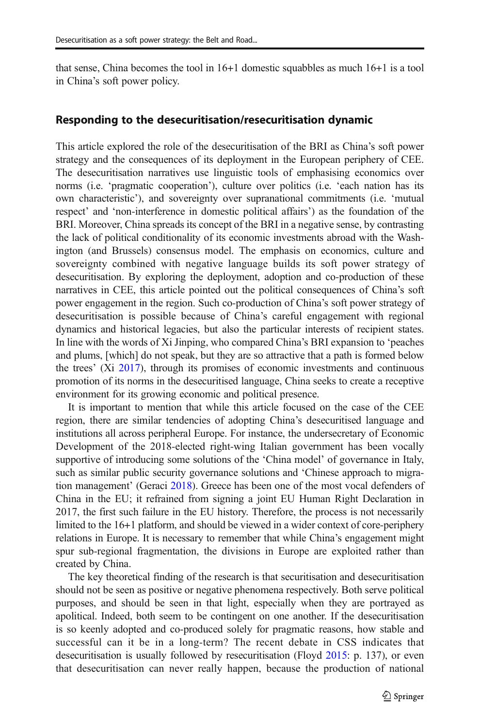that sense, China becomes the tool in 16+1 domestic squabbles as much 16+1 is a tool in China's soft power policy.

### Responding to the desecuritisation/resecuritisation dynamic

This article explored the role of the desecuritisation of the BRI as China's soft power strategy and the consequences of its deployment in the European periphery of CEE. The desecuritisation narratives use linguistic tools of emphasising economics over norms (i.e. 'pragmatic cooperation'), culture over politics (i.e. 'each nation has its own characteristic'), and sovereignty over supranational commitments (i.e. 'mutual respect' and 'non-interference in domestic political affairs') as the foundation of the BRI. Moreover, China spreads its concept of the BRI in a negative sense, by contrasting the lack of political conditionality of its economic investments abroad with the Washington (and Brussels) consensus model. The emphasis on economics, culture and sovereignty combined with negative language builds its soft power strategy of desecuritisation. By exploring the deployment, adoption and co-production of these narratives in CEE, this article pointed out the political consequences of China's soft power engagement in the region. Such co-production of China's soft power strategy of desecuritisation is possible because of China's careful engagement with regional dynamics and historical legacies, but also the particular interests of recipient states. In line with the words of Xi Jinping, who compared China's BRI expansion to 'peaches and plums, [which] do not speak, but they are so attractive that a path is formed below the trees' (Xi 2017), through its promises of economic investments and continuous promotion of its norms in the desecuritised language, China seeks to create a receptive environment for its growing economic and political presence.

It is important to mention that while this article focused on the case of the CEE region, there are similar tendencies of adopting China's desecuritised language and institutions all across peripheral Europe. For instance, the undersecretary of Economic Development of the 2018-elected right-wing Italian government has been vocally supportive of introducing some solutions of the 'China model' of governance in Italy, such as similar public security governance solutions and 'Chinese approach to migration management' (Geraci 2018). Greece has been one of the most vocal defenders of China in the EU; it refrained from signing a joint EU Human Right Declaration in 2017, the first such failure in the EU history. Therefore, the process is not necessarily limited to the 16+1 platform, and should be viewed in a wider context of core-periphery relations in Europe. It is necessary to remember that while China's engagement might spur sub-regional fragmentation, the divisions in Europe are exploited rather than created by China.

The key theoretical finding of the research is that securitisation and desecuritisation should not be seen as positive or negative phenomena respectively. Both serve political purposes, and should be seen in that light, especially when they are portrayed as apolitical. Indeed, both seem to be contingent on one another. If the desecuritisation is so keenly adopted and co-produced solely for pragmatic reasons, how stable and successful can it be in a long-term? The recent debate in CSS indicates that desecuritisation is usually followed by resecuritisation (Floyd 2015: p. 137), or even that desecuritisation can never really happen, because the production of national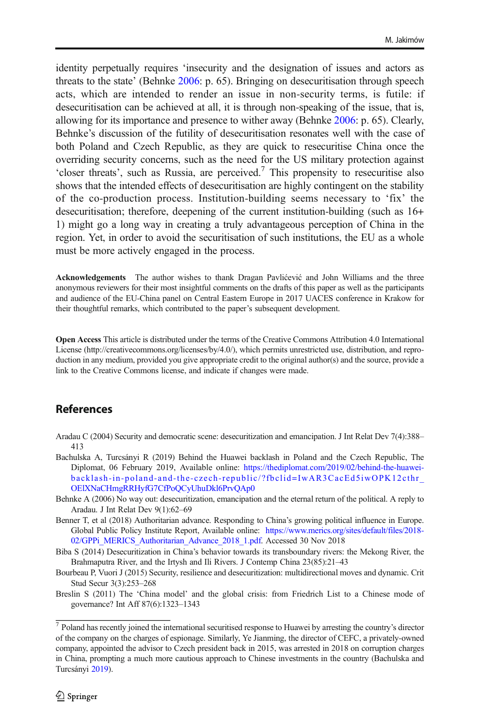identity perpetually requires 'insecurity and the designation of issues and actors as threats to the state' (Behnke 2006: p. 65). Bringing on desecuritisation through speech acts, which are intended to render an issue in non-security terms, is futile: if desecuritisation can be achieved at all, it is through non-speaking of the issue, that is, allowing for its importance and presence to wither away (Behnke 2006: p. 65). Clearly, Behnke's discussion of the futility of desecuritisation resonates well with the case of both Poland and Czech Republic, as they are quick to resecuritise China once the overriding security concerns, such as the need for the US military protection against  $\cdot$ closer threats', such as Russia, are perceived.<sup>7</sup> This propensity to resecuritise also shows that the intended effects of desecuritisation are highly contingent on the stability of the co-production process. Institution-building seems necessary to 'fix' the desecuritisation; therefore, deepening of the current institution-building (such as 16+ 1) might go a long way in creating a truly advantageous perception of China in the region. Yet, in order to avoid the securitisation of such institutions, the EU as a whole must be more actively engaged in the process.

Acknowledgements The author wishes to thank Dragan Pavlićević and John Williams and the three anonymous reviewers for their most insightful comments on the drafts of this paper as well as the participants and audience of the EU-China panel on Central Eastern Europe in 2017 UACES conference in Krakow for their thoughtful remarks, which contributed to the paper's subsequent development.

Open Access This article is distributed under the terms of the Creative Commons Attribution 4.0 International License (http://creativecommons.org/licenses/by/4.0/), which permits unrestricted use, distribution, and reproduction in any medium, provided you give appropriate credit to the original author(s) and the source, provide a link to the Creative Commons license, and indicate if changes were made.

### References

- Aradau C (2004) Security and democratic scene: desecuritization and emancipation. J Int Relat Dev 7(4):388– 413
- Bachulska A, Turcsányi R (2019) Behind the Huawei backlash in Poland and the Czech Republic, The Diplomat, 06 February 2019, Available online: [https://thediplomat.com/2019/02/behind-the-huawei](https://thediplomat.com/2019/02/behind-the-huawei-backlash-in-poland-and-the-czech-republic/?fbclid=IwAR3CacEd5iwOPK12cthr_OElXNaCHmgRRHyfG7CfPoQCyUhuDkl6PrvQAp0)[backlash-in-poland-and-the-czech-republic/?fbclid=IwAR3CacEd5iwOPK12cthr\\_](https://thediplomat.com/2019/02/behind-the-huawei-backlash-in-poland-and-the-czech-republic/?fbclid=IwAR3CacEd5iwOPK12cthr_OElXNaCHmgRRHyfG7CfPoQCyUhuDkl6PrvQAp0) [OElXNaCHmgRRHyfG7CfPoQCyUhuDkl6PrvQAp0](https://thediplomat.com/2019/02/behind-the-huawei-backlash-in-poland-and-the-czech-republic/?fbclid=IwAR3CacEd5iwOPK12cthr_OElXNaCHmgRRHyfG7CfPoQCyUhuDkl6PrvQAp0)
- Behnke A (2006) No way out: desecuritization, emancipation and the eternal return of the political. A reply to Aradau. J Int Relat Dev 9(1):62–69
- Benner T, et al (2018) Authoritarian advance. Responding to China's growing political influence in Europe. Global Public Policy Institute Report, Available online: [https://www.merics.org/sites/default/files/2018-](https://www.merics.org/sites/default/files/2018-02/GPPi_MERICS_Authoritarian_Advance_2018_1.pdf) [02/GPPi\\_MERICS\\_Authoritarian\\_Advance\\_2018\\_1.pdf](https://www.merics.org/sites/default/files/2018-02/GPPi_MERICS_Authoritarian_Advance_2018_1.pdf). Accessed 30 Nov 2018
- Biba S (2014) Desecuritization in China's behavior towards its transboundary rivers: the Mekong River, the Brahmaputra River, and the Irtysh and Ili Rivers. J Contemp China 23(85):21–43
- Bourbeau P, Vuori J (2015) Security, resilience and desecuritization: multidirectional moves and dynamic. Crit Stud Secur 3(3):253–268
- Breslin S (2011) The 'China model' and the global crisis: from Friedrich List to a Chinese mode of governance? Int Aff 87(6):1323–1343

 $\frac{7}{7}$  Poland has recently joined the international securitised response to Huawei by arresting the country's director of the company on the charges of espionage. Similarly, Ye Jianming, the director of CEFC, a privately-owned company, appointed the advisor to Czech president back in 2015, was arrested in 2018 on corruption charges in China, prompting a much more cautious approach to Chinese investments in the country (Bachulska and Turcsányi 2019).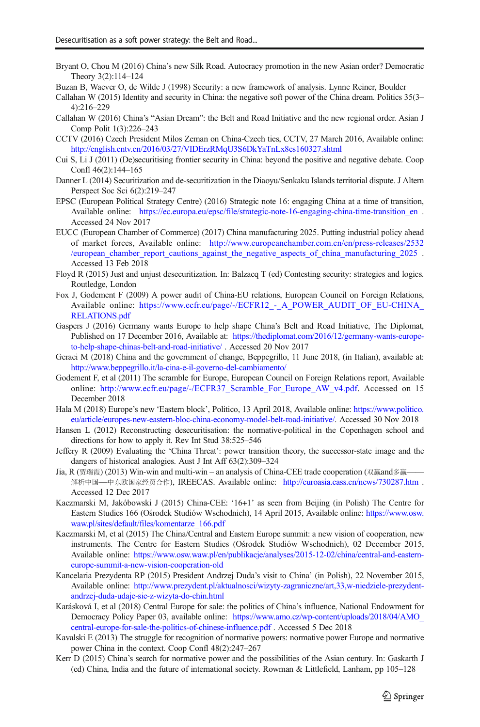Bryant O, Chou M (2016) China's new Silk Road. Autocracy promotion in the new Asian order? Democratic Theory 3(2):114–124

Buzan B, Waever O, de Wilde J (1998) Security: a new framework of analysis. Lynne Reiner, Boulder

- Callahan W (2015) Identity and security in China: the negative soft power of the China dream. Politics 35(3– 4):216–229
- Callahan W (2016) China's "Asian Dream": the Belt and Road Initiative and the new regional order. Asian J Comp Polit 1(3):226–243
- CCTV (2016) Czech President Milos Zeman on China-Czech ties, CCTV, 27 March 2016, Available online: <http://english.cntv.cn/2016/03/27/VIDErzRMqU3S6DkYaTnLx8es160327.shtml>
- Cui S, Li J (2011) (De)securitising frontier security in China: beyond the positive and negative debate. Coop Confl 46(2):144–165
- Danner L (2014) Securitization and de-securitization in the Diaoyu/Senkaku Islands territorial dispute. J Altern Perspect Soc Sci 6(2):219–247
- EPSC (European Political Strategy Centre) (2016) Strategic note 16: engaging China at a time of transition, Available online: https://ec.europa.eu/epsc/file/strategic-note-16-engaging-china-time-transition en . Accessed 24 Nov 2017
- EUCC (European Chamber of Commerce) (2017) China manufacturing 2025. Putting industrial policy ahead of market forces, Available online: [http://www.europeanchamber.com.cn/en/press-releases/2532](http://www.europeanchamber.com.cn/en/press-releases/2532/european_chamber_report_cautions_against_the_negative_aspects_of_china_manufacturing_2025) [/european\\_chamber\\_report\\_cautions\\_against\\_the\\_negative\\_aspects\\_of\\_china\\_manufacturing\\_2025](http://www.europeanchamber.com.cn/en/press-releases/2532/european_chamber_report_cautions_against_the_negative_aspects_of_china_manufacturing_2025) . Accessed 13 Feb 2018
- Floyd R (2015) Just and unjust desecuritization. In: Balzacq T (ed) Contesting security: strategies and logics. Routledge, London
- Fox J, Godement F (2009) A power audit of China-EU relations, European Council on Foreign Relations, Available online: https://www.ecfr.eu/page/-/ECFR12 - A\_POWER\_AUDIT\_OF\_EU-CHINA [RELATIONS.pdf](https://www.ecfr.eu/page/-/ECFR12_-_A_POWER_AUDIT_OF_EU-CHINA_RELATIONS.pdf)
- Gaspers J (2016) Germany wants Europe to help shape China's Belt and Road Initiative, The Diplomat, Published on 17 December 2016, Available at: [https://thediplomat.com/2016/12/germany-wants-europe](https://thediplomat.com/2016/12/germany-wants-europe-to-help-shape-chinas-belt-and-road-initiative/)[to-help-shape-chinas-belt-and-road-initiative/](https://thediplomat.com/2016/12/germany-wants-europe-to-help-shape-chinas-belt-and-road-initiative/) . Accessed 20 Nov 2017
- Geraci M (2018) China and the government of change, Beppegrillo, 11 June 2018, (in Italian), available at: <http://www.beppegrillo.it/la-cina-e-il-governo-del-cambiamento/>
- Godement F, et al (2011) The scramble for Europe, European Council on Foreign Relations report, Available online: [http://www.ecfr.eu/page/-/ECFR37\\_Scramble\\_For\\_Europe\\_AW\\_v4.pdf](http://www.ecfr.eu/page/-/ECFR37_Scramble_For_Europe_AW_v4.pdf). Accessed on 15 December 2018
- Hala M (2018) Europe's new 'Eastern block', Politico, 13 April 2018, Available online: [https://www.politico.](https://www.politico.eu/article/europes-new-eastern-bloc-china-economy-model-belt-road-initiative/) [eu/article/europes-new-eastern-bloc-china-economy-model-belt-road-initiative/](https://www.politico.eu/article/europes-new-eastern-bloc-china-economy-model-belt-road-initiative/). Accessed 30 Nov 2018
- Hansen L (2012) Reconstructing desecuritisation: the normative-political in the Copenhagen school and directions for how to apply it. Rev Int Stud 38:525–546
- Jeffery R (2009) Evaluating the 'China Threat': power transition theory, the successor-state image and the dangers of historical analogies. Aust J Int Aff 63(2):309–324
- Jia, R (贾瑞霞) (2013) Win-win and multi-win an analysis of China-CEE trade cooperation (双赢and多赢—— 解析中国—中东欧国家经贸合作), IREECAS. Available online: <http://euroasia.cass.cn/news/730287.htm> . Accessed 12 Dec 2017
- Kaczmarski M, Jakóbowski J (2015) China-CEE: '16+1' as seen from Beijing (in Polish) The Centre for Eastern Studies 166 (Ośrodek Studiów Wschodnich), 14 April 2015, Available online: [https://www.osw.](https://www.osw.waw.pl/sites/default/files/komentarze_166.pdf) [waw.pl/sites/default/files/komentarze\\_166.pdf](https://www.osw.waw.pl/sites/default/files/komentarze_166.pdf)
- Kaczmarski M, et al (2015) The China/Central and Eastern Europe summit: a new vision of cooperation, new instruments. The Centre for Eastern Studies (Ośrodek Studiów Wschodnich), 02 December 2015, Available online: [https://www.osw.waw.pl/en/publikacje/analyses/2015-12-02/china/central-and-eastern](https://www.osw.waw.pl/en/publikacje/analyses/2015-12-02/china/central-and-eastern-europe-summit-a-new-vision-cooperation-old)[europe-summit-a-new-vision-cooperation-old](https://www.osw.waw.pl/en/publikacje/analyses/2015-12-02/china/central-and-eastern-europe-summit-a-new-vision-cooperation-old)
- Kancelaria Prezydenta RP (2015) President Andrzej Duda's visit to China' (in Polish), 22 November 2015, Available online: [http://www.prezydent.pl/aktualnosci/wizyty-zagraniczne/art,33,w-niedziele-prezydent](http://www.prezydent.pl/aktualnosci/wizyty-zagraniczne/art,33,w-niedziele-prezydent-andrzej-duda-udaje-sie-z-wizyta-do-chin.html)[andrzej-duda-udaje-sie-z-wizyta-do-chin.html](http://www.prezydent.pl/aktualnosci/wizyty-zagraniczne/art,33,w-niedziele-prezydent-andrzej-duda-udaje-sie-z-wizyta-do-chin.html)
- Karásková I, et al (2018) Central Europe for sale: the politics of China's influence, National Endowment for Democracy Policy Paper 03, available online: [https://www.amo.cz/wp-content/uploads/2018/04/AMO\\_](https://www.amo.cz/wp-content/uploads/2018/04/AMO_central-europe-for-sale-the-politics-of-chinese-influence.pdf) [central-europe-for-sale-the-politics-of-chinese-influence.pdf](https://www.amo.cz/wp-content/uploads/2018/04/AMO_central-europe-for-sale-the-politics-of-chinese-influence.pdf) . Accessed 5 Dec 2018
- Kavalski E (2013) The struggle for recognition of normative powers: normative power Europe and normative power China in the context. Coop Confl 48(2):247–267
- Kerr D (2015) China's search for normative power and the possibilities of the Asian century. In: Gaskarth J (ed) China, India and the future of international society. Rowman & Littlefield, Lanham, pp 105–128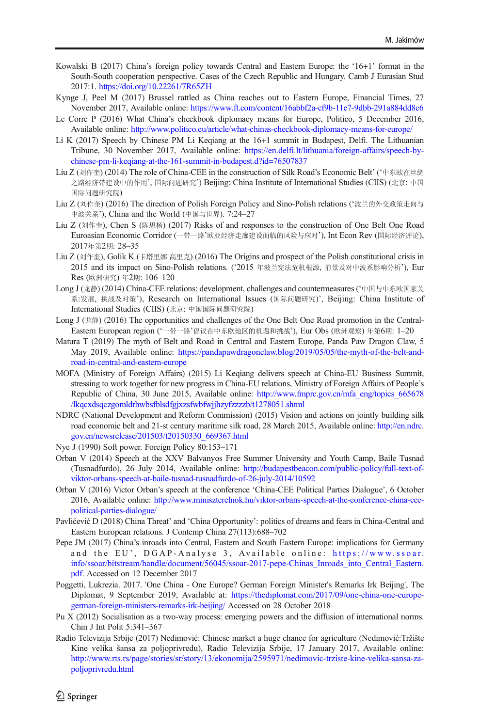- Kowalski B (2017) China's foreign policy towards Central and Eastern Europe: the '16+1' format in the South-South cooperation perspective. Cases of the Czech Republic and Hungary. Camb J Eurasian Stud 2017:1. <https://doi.org/10.22261/7R65ZH>
- Kynge J, Peel M (2017) Brussel rattled as China reaches out to Eastern Europe, Financial Times, 27 November 2017, Available online: <https://www.ft.com/content/16abbf2a-cf9b-11e7-9dbb-291a884dd8c6>
- Le Corre P (2016) What China's checkbook diplomacy means for Europe, Politico, 5 December 2016, Available online: <http://www.politico.eu/article/what-chinas-checkbook-diplomacy-means-for-europe/>
- Li K (2017) Speech by Chinese PM Li Keqiang at the 16+1 summit in Budapest, Delfi. The Lithuanian Tribune, 30 November 2017, Available online: [https://en.delfi.lt/lithuania/foreign-affairs/speech-by](https://en.delfi.lt/lithuania/foreign-affairs/speech-by-chinese-pm-li-keqiang-at-the-161-summit-in-budapest.d?id=76507837)[chinese-pm-li-keqiang-at-the-161-summit-in-budapest.d?id=76507837](https://en.delfi.lt/lithuania/foreign-affairs/speech-by-chinese-pm-li-keqiang-at-the-161-summit-in-budapest.d?id=76507837)
- Liu Z (刘作奎) (2014) The role of China-CEE in the construction of Silk Road's Economic Belt' ('中东欧在丝绸 之路经济带建设中的作用', 国际问题研究') Beijing: China Institute of International Studies (CIIS) (北京: 中国 国际问题研究院)
- Liu Z (刘作奎) (2016) The direction of Polish Foreign Policy and Sino-Polish relations ('波兰的外交政策走向与 中波关系'), China and the World (中国与世界). 7:24–27
- Liu Z (刘作奎), Chen S (陈思杨) (2017) Risks of and responses to the construction of One Belt One Road Euroasian Economic Corridor (一带一路'欧亚经济走廊建设面临的风险与应对'), Int Econ Rev (国际经济评论), 2017年第2期: 28–35
- Liu Z (刘作奎), Golik K (卡塔里娜 高里克) (2016) The Origins and prospect of the Polish constitutional crisis in 2015 and its impact on Sino-Polish relations. ('2015 年波兰宪法危机根源, 前景及对中波系影响分析'), Eur Res (欧洲研究) 年2期: 106–120
- Long J (龙静) (2014) China-CEE relations: development, challenges and countermeasures ('中国与中东欧国家关 系:发展, 挑战及对策'), Research on International Issues (国际问题研究)', Beijing: China Institute of International Studies (CIIS) (北京: 中国国际问题研究院)
- Long J (龙静) (2016) The opportunities and challenges of the One Belt One Road promotion in the Central-Eastern European region ('一带一路'倡议在中东欧地区的机遇和挑战'), Eur Obs (欧洲观察) 年第6期: 1–20
- Matura T (2019) The myth of Belt and Road in Central and Eastern Europe, Panda Paw Dragon Claw, 5 May 2019, Available online: [https://pandapawdragonclaw.blog/2019/05/05/the-myth-of-the-belt-and](https://pandapawdragonclaw.blog/2019/05/05/the-myth-of-the-belt-and-road-in-central-and-eastern-europe)[road-in-central-and-eastern-europe](https://pandapawdragonclaw.blog/2019/05/05/the-myth-of-the-belt-and-road-in-central-and-eastern-europe)
- MOFA (Ministry of Foreign Affairs) (2015) Li Keqiang delivers speech at China-EU Business Summit, stressing to work together for new progress in China-EU relations, Ministry of Foreign Affairs of People's Republic of China, 30 June 2015, Available online: [http://www.fmprc.gov.cn/mfa\\_eng/topics\\_665678](http://www.fmprc.gov.cn/mfa_eng/topics_665678/lkqcxdsqczgomldrhwbsfblsdfgjxzsfwbfwjjhzyfzzzzb/t1278051.shtml) [/lkqcxdsqczgomldrhwbsfblsdfgjxzsfwbfwjjhzyfzzzzb/t1278051.shtml](http://www.fmprc.gov.cn/mfa_eng/topics_665678/lkqcxdsqczgomldrhwbsfblsdfgjxzsfwbfwjjhzyfzzzzb/t1278051.shtml)
- NDRC (National Development and Reform Commission) (2015) Vision and actions on jointly building silk road economic belt and 21-st century maritime silk road, 28 March 2015, Available online: [http://en.ndrc.](http://en.ndrc.gov.cn/newsrelease/201503/t20150330_669367.html) [gov.cn/newsrelease/201503/t20150330\\_669367.html](http://en.ndrc.gov.cn/newsrelease/201503/t20150330_669367.html)
- Nye J (1990) Soft power. Foreign Policy 80:153–171
- Orban V (2014) Speech at the XXV Balvanyos Free Summer University and Youth Camp, Baile Tusnad (Tusnadfurdo), 26 July 2014, Available online: [http://budapestbeacon.com/public-policy/full-text-of](http://budapestbeacon.com/public-policy/full-text-of-viktor-orbans-speech-at-baile-tusnad-tusnadfurdo-of-26-july-2014/10592)[viktor-orbans-speech-at-baile-tusnad-tusnadfurdo-of-26-july-2014/10592](http://budapestbeacon.com/public-policy/full-text-of-viktor-orbans-speech-at-baile-tusnad-tusnadfurdo-of-26-july-2014/10592)
- Orban V (2016) Victor Orban's speech at the conference 'China-CEE Political Parties Dialogue', 6 October 2016, Available online: [http://www.miniszterelnok.hu/viktor-orbans-speech-at-the-conference-china-cee](http://www.miniszterelnok.hu/viktor-orbans-speech-at-the-conference-china-cee-political-parties-dialogue/)[political-parties-dialogue/](http://www.miniszterelnok.hu/viktor-orbans-speech-at-the-conference-china-cee-political-parties-dialogue/)
- Pavlićević D (2018) China Threat' and 'China Opportunity': politics of dreams and fears in China-Central and Eastern European relations. J Contemp China 27(113):688–702
- Pepe JM (2017) China's inroads into Central, Eastern and South Eastern Europe: implications for Germany and the EU', DGAP-Analyse 3, Available online: [https://www.ssoar.](https://www.ssoar.info/ssoar/bitstream/handle/document/56045/ssoar-2017-pepe-Chinas_Inroads_into_Central_Eastern.pdf) [info/ssoar/bitstream/handle/document/56045/ssoar-2017-pepe-Chinas\\_Inroads\\_into\\_Central\\_Eastern.](https://www.ssoar.info/ssoar/bitstream/handle/document/56045/ssoar-2017-pepe-Chinas_Inroads_into_Central_Eastern.pdf) [pdf](https://www.ssoar.info/ssoar/bitstream/handle/document/56045/ssoar-2017-pepe-Chinas_Inroads_into_Central_Eastern.pdf). Accessed on 12 December 2017
- Poggetti, Lukrezia. 2017. 'One China One Europe? German Foreign Minister's Remarks Irk Beijing', The Diplomat, 9 September 2019, Available at: [https://thediplomat.com/2017/09/one-china-one-europe](https://thediplomat.com/2017/09/one-china-one-europe-german-foreign-ministers-remarks-irk-beijing/)[german-foreign-ministers-remarks-irk-beijing/](https://thediplomat.com/2017/09/one-china-one-europe-german-foreign-ministers-remarks-irk-beijing/) Accessed on 28 October 2018
- Pu X (2012) Socialisation as a two-way process: emerging powers and the diffusion of international norms. Chin J Int Polit 5:341–367
- Radio Televizija Srbije (2017) Nedimović: Chinese market a huge chance for agriculture (Nedimović:Tržište Kine velika šansa za poljoprivredu), Radio Televizija Srbije, 17 January 2017, Available online: [http://www.rts.rs/page/stories/sr/story/13/ekonomija/2595971/nedimovic-trziste-kine-velika-sansa-za](http://www.rts.rs/page/stories/sr/story/13/ekonomija/2595971/nedimovic-trziste-kine-velika-sansa-za-poljoprivredu.html)[poljoprivredu.html](http://www.rts.rs/page/stories/sr/story/13/ekonomija/2595971/nedimovic-trziste-kine-velika-sansa-za-poljoprivredu.html)